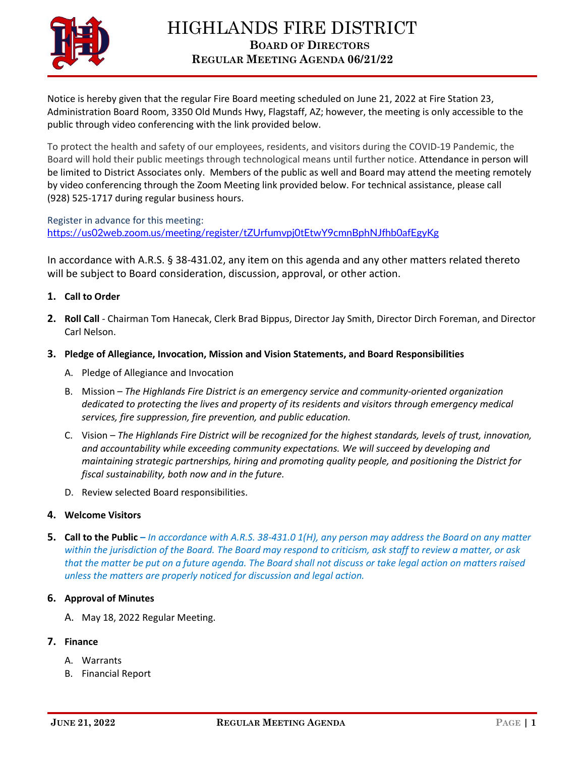

Notice is hereby given that the regular Fire Board meeting scheduled on June 21, 2022 at Fire Station 23, Administration Board Room, 3350 Old Munds Hwy, Flagstaff, AZ; however, the meeting is only accessible to the public through video conferencing with the link provided below.

To protect the health and safety of our employees, residents, and visitors during the COVID-19 Pandemic, the Board will hold their public meetings through technological means until further notice. Attendance in person will be limited to District Associates only. Members of the public as well and Board may attend the meeting remotely by video conferencing through the Zoom Meeting link provided below. For technical assistance, please call (928) 525-1717 during regular business hours.

Register in advance for this meeting: <https://us02web.zoom.us/meeting/register/tZUrfumvpj0tEtwY9cmnBphNJfhb0afEgyKg>

In accordance with A.R.S. § 38-431.02, any item on this agenda and any other matters related thereto will be subject to Board consideration, discussion, approval, or other action.

- **1. Call to Order**
- **2. Roll Call** Chairman Tom Hanecak, Clerk Brad Bippus, Director Jay Smith, Director Dirch Foreman, and Director Carl Nelson.
- **3. Pledge of Allegiance, Invocation, Mission and Vision Statements, and Board Responsibilities**
	- A. Pledge of Allegiance and Invocation
	- B. Mission *The Highlands Fire District is an emergency service and community-oriented organization dedicated to protecting the lives and property of its residents and visitors through emergency medical services, fire suppression, fire prevention, and public education.*
	- C. Vision *The Highlands Fire District will be recognized for the highest standards, levels of trust, innovation, and accountability while exceeding community expectations. We will succeed by developing and maintaining strategic partnerships, hiring and promoting quality people, and positioning the District for fiscal sustainability, both now and in the future.*
	- D. Review selected Board responsibilities.

## **4. Welcome Visitors**

**5. Call to the Public –** *In accordance with A.R.S. 38-431.0 1(H), any person may address the Board on any matter within the jurisdiction of the Board. The Board may respond to criticism, ask staff to review a matter, or ask that the matter be put on a future agenda. The Board shall not discuss or take legal action on matters raised unless the matters are properly noticed for discussion and legal action.*

### **6. Approval of Minutes**

A. May 18, 2022 Regular Meeting.

# **7. Finance**

- A. Warrants
- B. Financial Report